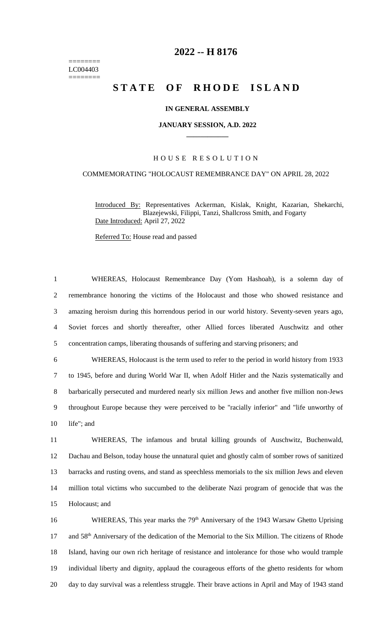======== LC004403 ========

## **2022 -- H 8176**

# **STATE OF RHODE ISLAND**

### **IN GENERAL ASSEMBLY**

#### **JANUARY SESSION, A.D. 2022 \_\_\_\_\_\_\_\_\_\_\_\_**

## H O U S E R E S O L U T I O N

## COMMEMORATING "HOLOCAUST REMEMBRANCE DAY" ON APRIL 28, 2022

Introduced By: Representatives Ackerman, Kislak, Knight, Kazarian, Shekarchi, Blazejewski, Filippi, Tanzi, Shallcross Smith, and Fogarty Date Introduced: April 27, 2022

Referred To: House read and passed

 WHEREAS, Holocaust Remembrance Day (Yom Hashoah), is a solemn day of remembrance honoring the victims of the Holocaust and those who showed resistance and amazing heroism during this horrendous period in our world history. Seventy-seven years ago, Soviet forces and shortly thereafter, other Allied forces liberated Auschwitz and other concentration camps, liberating thousands of suffering and starving prisoners; and

 WHEREAS, Holocaust is the term used to refer to the period in world history from 1933 to 1945, before and during World War II, when Adolf Hitler and the Nazis systematically and barbarically persecuted and murdered nearly six million Jews and another five million non-Jews throughout Europe because they were perceived to be "racially inferior" and "life unworthy of life"; and

 WHEREAS, The infamous and brutal killing grounds of Auschwitz, Buchenwald, Dachau and Belson, today house the unnatural quiet and ghostly calm of somber rows of sanitized barracks and rusting ovens, and stand as speechless memorials to the six million Jews and eleven million total victims who succumbed to the deliberate Nazi program of genocide that was the Holocaust; and

16 WHEREAS, This year marks the 79<sup>th</sup> Anniversary of the 1943 Warsaw Ghetto Uprising 17 and 58<sup>th</sup> Anniversary of the dedication of the Memorial to the Six Million. The citizens of Rhode 18 Island, having our own rich heritage of resistance and intolerance for those who would trample 19 individual liberty and dignity, applaud the courageous efforts of the ghetto residents for whom 20 day to day survival was a relentless struggle. Their brave actions in April and May of 1943 stand